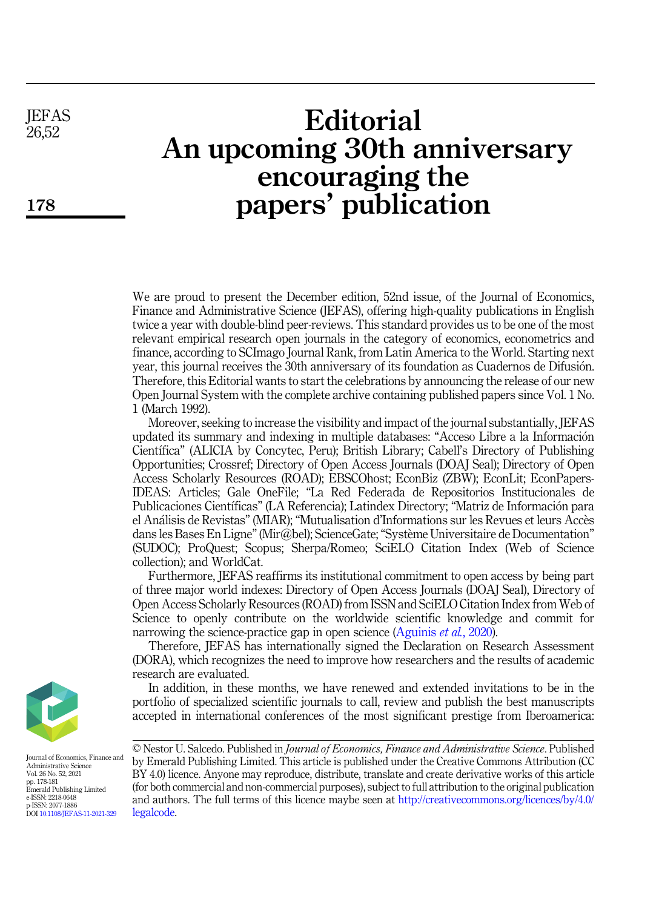**IEFAS** 26,52

178

# **Editorial** An upcoming 30th anniversary encouraging the papers' publication

We are proud to present the December edition, 52nd issue, of the Journal of Economics, Finance and Administrative Science (JEFAS), offering high-quality publications in English twice a year with double-blind peer-reviews. This standard provides us to be one of the most relevant empirical research open journals in the category of economics, econometrics and finance, according to SCImago Journal Rank, from Latin America to the World. Starting next year, this journal receives the 30th anniversary of its foundation as Cuadernos de Difusion. Therefore, this Editorial wants to start the celebrations by announcing the release of our new Open Journal System with the complete archive containing published papers since Vol. 1 No. 1 (March 1992).

Moreover, seeking to increase the visibility and impact of the journal substantially, JEFAS updated its summary and indexing in multiple databases: "Acceso Libre a la Informacion Cientıfica" (ALICIA by Concytec, Peru); British Library; Cabell's Directory of Publishing Opportunities; Crossref; Directory of Open Access Journals (DOAJ Seal); Directory of Open Access Scholarly Resources (ROAD); EBSCOhost; EconBiz (ZBW); EconLit; EconPapers-IDEAS: Articles; Gale OneFile; "La Red Federada de Repositorios Institucionales de Publicaciones Científicas" (LA Referencia); Latindex Directory; "Matriz de Información para el Analisis de Revistas" (MIAR); "Mutualisation d'Informations sur les Revues et leurs Acces dans les Bases En Ligne"(Mir@bel); ScienceGate;"Systeme Universitaire de Documentation" (SUDOC); ProQuest; Scopus; Sherpa/Romeo; SciELO Citation Index (Web of Science collection); and WorldCat.

Furthermore, JEFAS reaffirms its institutional commitment to open access by being part of three major world indexes: Directory of Open Access Journals (DOAJ Seal), Directory of Open Access Scholarly Resources (ROAD) from ISSN and SciELO Citation Index from Web of Science to openly contribute on the worldwide scientific knowledge and commit for narrowing the science-practice gap in open science [\(Aguinis](#page-3-0) *et al.*, 2020).

Therefore, JEFAS has internationally signed the Declaration on Research Assessment (DORA), which recognizes the need to improve how researchers and the results of academic research are evaluated.

In addition, in these months, we have renewed and extended invitations to be in the portfolio of specialized scientific journals to call, review and publish the best manuscripts accepted in international conferences of the most significant prestige from Iberoamerica:

Journal of Economics, Finance and Administrative Science Vol. 26 No. 52, 2021 pp. 178-181 Emerald Publishing Limited e-ISSN: 2218-0648 p-ISSN: 2077-1886 DOI [10.1108/JEFAS-11-2021-329](https://doi.org/10.1108/JEFAS-11-2021-329)

<sup>©</sup> Nestor U. Salcedo. Published in Journal of Economics, Finance and Administrative Science. Published by Emerald Publishing Limited. This article is published under the Creative Commons Attribution (CC BY 4.0) licence. Anyone may reproduce, distribute, translate and create derivative works of this article (for both commercial and non-commercial purposes), subject to full attribution to the original publication and authors. The full terms of this licence maybe seen at [http://creativecommons.org/licences/by/4.0/](http://creativecommons.org/licences/by/4.0/legalcode) [legalcode.](http://creativecommons.org/licences/by/4.0/legalcode)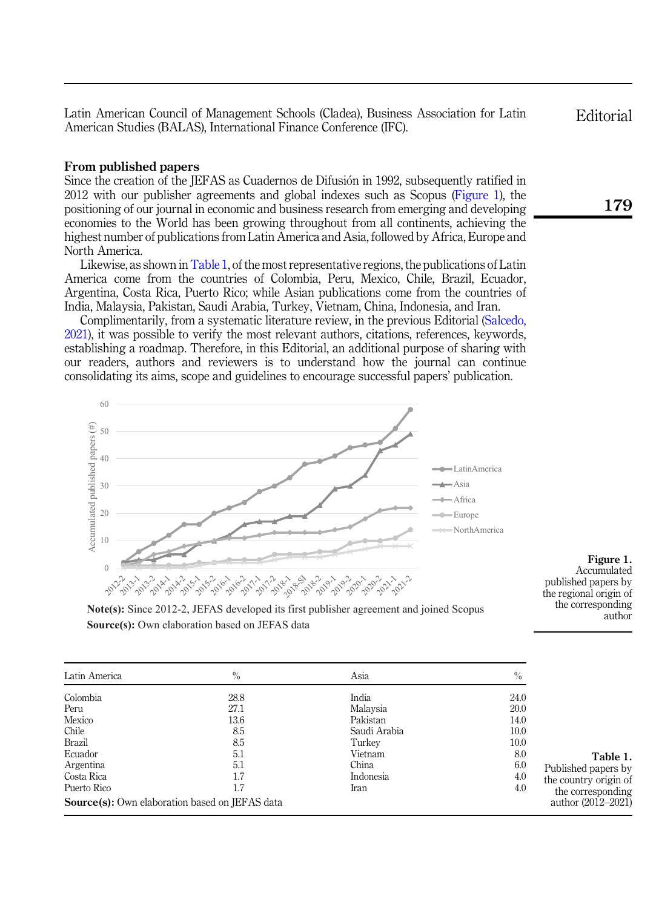Latin American Council of Management Schools (Cladea), Business Association for Latin American Studies (BALAS), International Finance Conference (IFC).

## From published papers

60

Since the creation of the JEFAS as Cuadernos de Difusion in 1992, subsequently ratified in 2012 with our publisher agreements and global indexes such as Scopus (Figure 1), the positioning of our journal in economic and business research from emerging and developing economies to the World has been growing throughout from all continents, achieving the highest number of publications from Latin America and Asia, followed by Africa, Europe and North America.

Likewise, as shown in Table 1, of the most representative regions, the publications of Latin America come from the countries of Colombia, Peru, Mexico, Chile, Brazil, Ecuador, Argentina, Costa Rica, Puerto Rico; while Asian publications come from the countries of India, Malaysia, Pakistan, Saudi Arabia, Turkey, Vietnam, China, Indonesia, and Iran.

Complimentarily, from a systematic literature review, in the previous Editorial [\(Salcedo,](#page-3-1) [2021\)](#page-3-1), it was possible to verify the most relevant authors, citations, references, keywords, establishing a roadmap. Therefore, in this Editorial, an additional purpose of sharing with our readers, authors and reviewers is to understand how the journal can continue consolidating its aims, scope and guidelines to encourage successful papers' publication.



Figure 1. Accumulated published papers by the regional origin of the corresponding author

Table 1.

Published papers by the country origin of the corresponding author (2012–2021)

| Latin America | $\frac{0}{0}$ | Asia         | $\%$ |
|---------------|---------------|--------------|------|
| Colombia      | 28.8          | India        | 24.0 |
| Peru          | 27.1          | Malaysia     | 20.0 |
| Mexico        | 13.6          | Pakistan     | 14.0 |
| Chile         | 8.5           | Saudi Arabia | 10.0 |
| Brazil        | 8.5           | Turkey       | 10.0 |
| Ecuador       | 5.1           | Vietnam      | 8.0  |
| Argentina     | 5.1           | China        | 6.0  |
| Costa Rica    | 1.7           | Indonesia    | 4.0  |

Puerto Rico 1.7 1.7 Iran 14.0

Source(s): Own elaboration based on JEFAS data

Editorial

179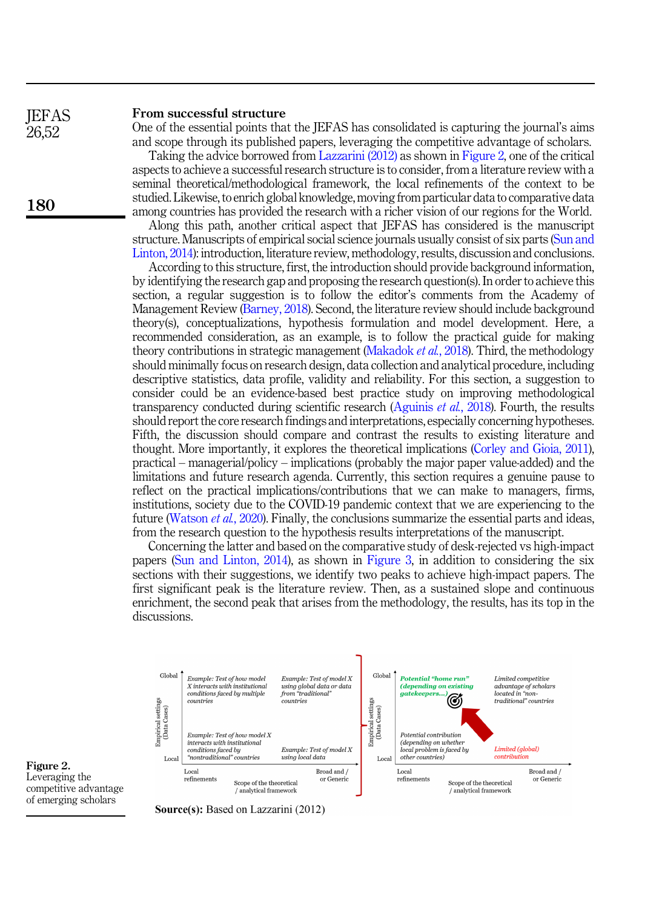### From successful structure

**IEFAS** 26,52

180

One of the essential points that the JEFAS has consolidated is capturing the journal's aims and scope through its published papers, leveraging the competitive advantage of scholars.

Taking the advice borrowed from [Lazzarini \(2012\)](#page-3-2) as shown in Figure 2, one of the critical aspects to achieve a successful research structure is to consider, from a literature review with a seminal theoretical/methodological framework, the local refinements of the context to be studied. Likewise, to enrich global knowledge, moving from particular data to comparative data among countries has provided the research with a richer vision of our regions for the World.

Along this path, another critical aspect that JEFAS has considered is the manuscript structure. Manuscripts of empirical social science journals usually consist of six parts ([Sun and](#page-3-3) [Linton, 2014\)](#page-3-3): introduction, literature review, methodology, results, discussion and conclusions.

According to this structure, first, the introduction should provide background information, by identifying the research gap and proposing the research question(s). In order to achieve this section, a regular suggestion is to follow the editor's comments from the Academy of Management Review ([Barney, 2018](#page-3-4)). Second, the literature review should include background theory(s), conceptualizations, hypothesis formulation and model development. Here, a recommended consideration, as an example, is to follow the practical guide for making theory contributions in strategic management [\(Makadok](#page-3-5) *et al.*, 2018). Third, the methodology should minimally focus on research design, data collection and analytical procedure, including descriptive statistics, data profile, validity and reliability. For this section, a suggestion to consider could be an evidence-based best practice study on improving methodological transparency conducted during scientific research ([Aguinis](#page-3-6) *et al.*, 2018). Fourth, the results should report the core research findings and interpretations, especially concerning hypotheses. Fifth, the discussion should compare and contrast the results to existing literature and thought. More importantly, it explores the theoretical implications ([Corley and Gioia, 2011\)](#page-3-7), practical – managerial/policy – implications (probably the major paper value-added) and the limitations and future research agenda. Currently, this section requires a genuine pause to reflect on the practical implications/contributions that we can make to managers, firms, institutions, society due to the COVID-19 pandemic context that we are experiencing to the future ([Watson](#page-3-8) et al., 2020). Finally, the conclusions summarize the essential parts and ideas, from the research question to the hypothesis results interpretations of the manuscript.

Concerning the latter and based on the comparative study of desk-rejected vs high-impact papers ([Sun and Linton, 2014](#page-3-3)), as shown in [Figure 3](#page-3-9), in addition to considering the six sections with their suggestions, we identify two peaks to achieve high-impact papers. The first significant peak is the literature review. Then, as a sustained slope and continuous enrichment, the second peak that arises from the methodology, the results, has its top in the discussions.



Figure 2. Leveraging the competitive advantage of emerging scholars